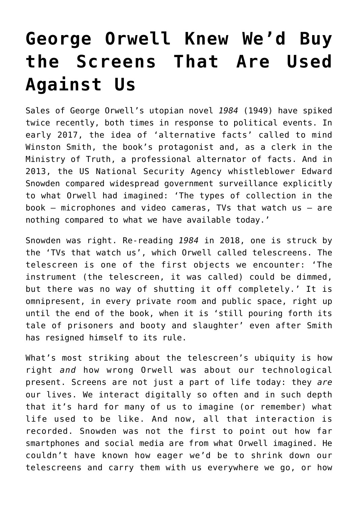## **[George Orwell Knew We'd Buy](https://intellectualtakeout.org/2018/07/george-orwell-knew-wed-buy-the-screens-that-are-used-against-us/) [the Screens That Are Used](https://intellectualtakeout.org/2018/07/george-orwell-knew-wed-buy-the-screens-that-are-used-against-us/) [Against Us](https://intellectualtakeout.org/2018/07/george-orwell-knew-wed-buy-the-screens-that-are-used-against-us/)**

Sales of George Orwell's utopian novel *1984* (1949) have spiked twice recently, both times in response to political events. In early 2017, the idea of 'alternative facts' called to mind Winston Smith, the book's protagonist and, as a clerk in the Ministry of Truth, a professional alternator of facts. And in 2013, the US National Security Agency whistleblower Edward Snowden compared widespread government surveillance explicitly to what Orwell had imagined: 'The types of collection in the book – microphones and video cameras, TVs that watch us – are nothing compared to what we have available today.'

Snowden was right. Re-reading *1984* in 2018, one is struck by the 'TVs that watch us', which Orwell called telescreens. The telescreen is one of the first objects we encounter: 'The instrument (the telescreen, it was called) could be dimmed, but there was no way of shutting it off completely.' It is omnipresent, in every private room and public space, right up until the end of the book, when it is 'still pouring forth its tale of prisoners and booty and slaughter' even after Smith has resigned himself to its rule.

What's most striking about the telescreen's ubiquity is how right *and* how wrong Orwell was about our technological present. Screens are not just a part of life today: they *are* our lives. We interact digitally so often and in such depth that it's hard for many of us to imagine (or remember) what life used to be like. And now, all that interaction is recorded. Snowden was not the first to point out how far smartphones and social media are from what Orwell imagined. He couldn't have known how eager we'd be to shrink down our telescreens and carry them with us everywhere we go, or how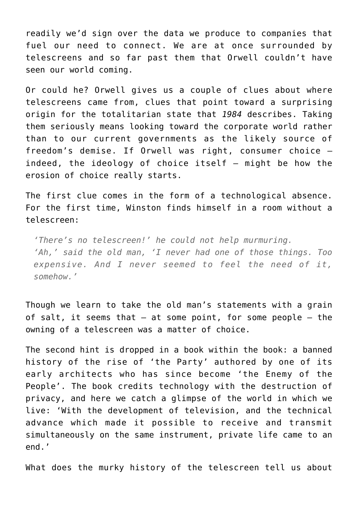readily we'd sign over the data we produce to companies that fuel our need to connect. We are at once surrounded by telescreens and so far past them that Orwell couldn't have seen our world coming.

Or could he? Orwell gives us a couple of clues about where telescreens came from, clues that point toward a surprising origin for the totalitarian state that *1984* describes. Taking them seriously means looking toward the corporate world rather than to our current governments as the likely source of freedom's demise. If Orwell was right, consumer choice – indeed, the ideology of choice itself – might be how the erosion of choice really starts.

The first clue comes in the form of a technological absence. For the first time, Winston finds himself in a room without a telescreen:

*'There's no telescreen!' he could not help murmuring. 'Ah,' said the old man, 'I never had one of those things. Too expensive. And I never seemed to feel the need of it, somehow.'*

Though we learn to take the old man's statements with a grain of salt, it seems that – at some point, for some people – the owning of a telescreen was a matter of choice.

The second hint is dropped in a book within the book: a banned history of the rise of 'the Party' authored by one of its early architects who has since become 'the Enemy of the People'. The book credits technology with the destruction of privacy, and here we catch a glimpse of the world in which we live: 'With the development of television, and the technical advance which made it possible to receive and transmit simultaneously on the same instrument, private life came to an end.'

What does the murky history of the telescreen tell us about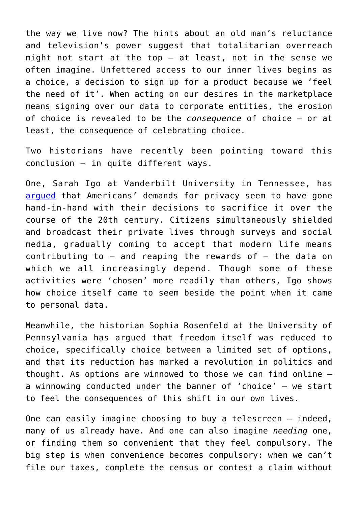the way we live now? The hints about an old man's reluctance and television's power suggest that totalitarian overreach might not start at the top – at least, not in the sense we often imagine. Unfettered access to our inner lives begins as a choice, a decision to sign up for a product because we 'feel the need of it'. When acting on our desires in the marketplace means signing over our data to corporate entities, the erosion of choice is revealed to be the *consequence* of choice – or at least, the consequence of celebrating choice.

Two historians have recently been pointing toward this conclusion – in quite different ways.

One, Sarah Igo at Vanderbilt University in Tennessee, has [argued](http://www.hup.harvard.edu/catalog.php?isbn=9780674737501) that Americans' demands for privacy seem to have gone hand-in-hand with their decisions to sacrifice it over the course of the 20th century. Citizens simultaneously shielded and broadcast their private lives through surveys and social media, gradually coming to accept that modern life means contributing to – and reaping the rewards of – the data on which we all increasingly depend. Though some of these activities were 'chosen' more readily than others, Igo shows how choice itself came to seem beside the point when it came to personal data.

Meanwhile, the historian Sophia Rosenfeld at the University of Pennsylvania has argued that freedom itself was reduced to choice, specifically choice between a limited set of options, and that its reduction has marked a revolution in politics and thought. As options are winnowed to those we can find online – a winnowing conducted under the banner of 'choice' – we start to feel the consequences of this shift in our own lives.

One can easily imagine choosing to buy a telescreen – indeed, many of us already have. And one can also imagine *needing* one, or finding them so convenient that they feel compulsory. The big step is when convenience becomes compulsory: when we can't file our taxes, complete the census or contest a claim without